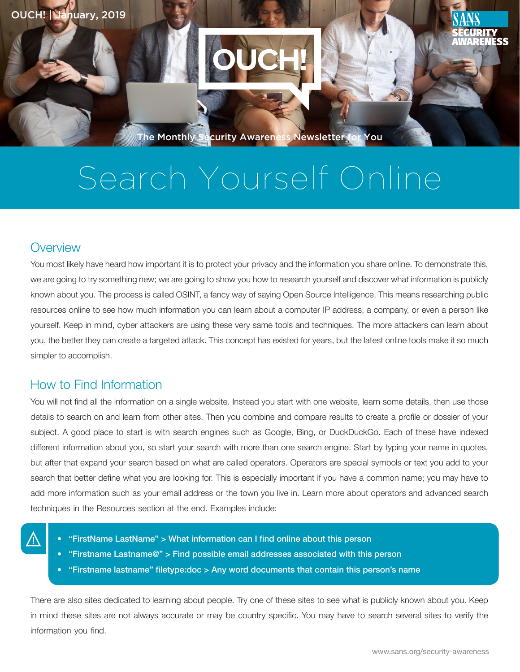

# Search Yourself Online

## **Overview**

You most likely have heard how important it is to protect your privacy and the information you share online. To demonstrate this, we are going to try something new; we are going to show you how to research yourself and discover what information is publicly known about you. The process is called OSINT, a fancy way of saying Open Source Intelligence. This means researching public resources online to see how much information you can learn about a computer IP address, a company, or even a person like yourself. Keep in mind, cyber attackers are using these very same tools and techniques. The more attackers can learn about you, the better they can create a targeted attack. This concept has existed for years, but the latest online tools make it so much simpler to accomplish.

### How to Find Information

You will not find all the information on a single website. Instead you start with one website, learn some details, then use those details to search on and learn from other sites. Then you combine and compare results to create a profile or dossier of your subject. A good place to start is with search engines such as Google, Bing, or DuckDuckGo. Each of these have indexed different information about you, so start your search with more than one search engine. Start by typing your name in quotes, but after that expand your search based on what are called operators. Operators are special symbols or text you add to your search that better define what you are looking for. This is especially important if you have a common name; you may have to add more information such as your email address or the town you live in. Learn more about operators and advanced search techniques in the Resources section at the end. Examples include:

- 
- "FirstName LastName" > What information can I find online about this person
- "Firstname Lastname@" > Find possible email addresses associated with this person
- "Firstname lastname" filetype:doc > Any word documents that contain this person's name

There are also sites dedicated to learning about people. Try one of these sites to see what is publicly known about you. Keep in mind these sites are not always accurate or may be country specific. You may have to search several sites to verify the information you find.